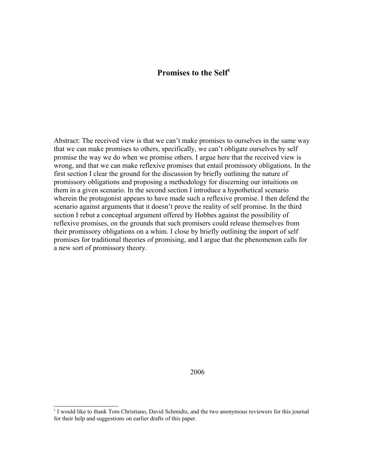# **Promises to the Self[1](#page-0-0)**

Abstract: The received view is that we can't make promises to ourselves in the same way that we can make promises to others, specifically, we can't obligate ourselves by self promise the way we do when we promise others. I argue here that the received view is wrong, and that we can make reflexive promises that entail promissory obligations. In the first section I clear the ground for the discussion by briefly outlining the nature of promissory obligations and proposing a methodology for discerning our intuitions on them in a given scenario. In the second section I introduce a hypothetical scenario wherein the protagonist appears to have made such a reflexive promise. I then defend the scenario against arguments that it doesn't prove the reality of self promise. In the third section I rebut a conceptual argument offered by Hobbes against the possibility of reflexive promises, on the grounds that such promisers could release themselves from their promissory obligations on a whim. I close by briefly outlining the import of self promises for traditional theories of promising, and I argue that the phenomenon calls for a new sort of promissory theory.

© 2006

<span id="page-0-0"></span><sup>&</sup>lt;sup>1</sup> I would like to thank Tom Christiano, David Schmidtz, and the two anonymous reviewers for this journal for their help and suggestions on earlier drafts of this paper.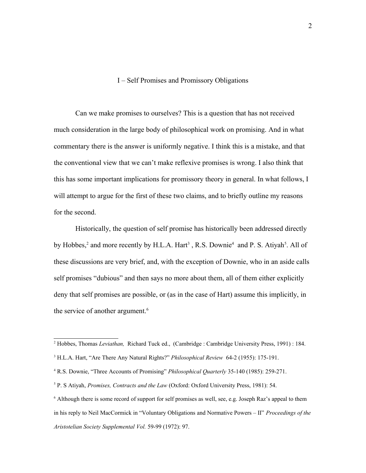I – Self Promises and Promissory Obligations

Can we make promises to ourselves? This is a question that has not received much consideration in the large body of philosophical work on promising. And in what commentary there is the answer is uniformly negative. I think this is a mistake, and that the conventional view that we can't make reflexive promises is wrong. I also think that this has some important implications for promissory theory in general. In what follows, I will attempt to argue for the first of these two claims, and to briefly outline my reasons for the second.

Historically, the question of self promise has historically been addressed directly by Hobbes,<sup>[2](#page-1-0)</sup> and more recently by H.L.A. Hart<sup>[3](#page-1-1)</sup>, R.S. Downie<sup>[4](#page-1-2)</sup> and P. S. Atiyah<sup>[5](#page-1-3)</sup>. All of these discussions are very brief, and, with the exception of Downie, who in an aside calls self promises "dubious" and then says no more about them, all of them either explicitly deny that self promises are possible, or (as in the case of Hart) assume this implicitly, in the service of another argument.<sup>[6](#page-1-4)</sup>

<span id="page-1-0"></span><sup>2</sup> Hobbes, Thomas *Leviathan,* Richard Tuck ed., (Cambridge : Cambridge University Press, 1991) : 184.

<span id="page-1-1"></span><sup>3</sup> H.L.A. Hart, "Are There Any Natural Rights?" *Philosophical Review* 64-2 (1955): 175-191.

<span id="page-1-2"></span><sup>4</sup> R.S. Downie, "Three Accounts of Promising" *Philosophical Quarterly* 35-140 (1985): 259-271.

<span id="page-1-3"></span><sup>5</sup> P. S Atiyah, *Promises, Contracts and the Law* (Oxford: Oxford University Press, 1981): 54.

<span id="page-1-4"></span><sup>6</sup> Although there is some record of support for self promises as well, see, e.g. Joseph Raz's appeal to them in his reply to Neil MacCormick in "Voluntary Obligations and Normative Powers – II" *Proceedings of the Aristotelian Society Supplemental Vol.* 59-99 (1972): 97.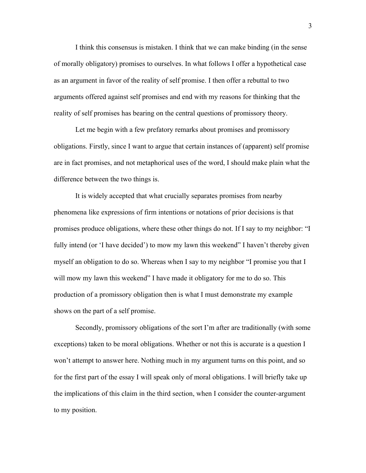I think this consensus is mistaken. I think that we can make binding (in the sense of morally obligatory) promises to ourselves. In what follows I offer a hypothetical case as an argument in favor of the reality of self promise. I then offer a rebuttal to two arguments offered against self promises and end with my reasons for thinking that the reality of self promises has bearing on the central questions of promissory theory.

Let me begin with a few prefatory remarks about promises and promissory obligations. Firstly, since I want to argue that certain instances of (apparent) self promise are in fact promises, and not metaphorical uses of the word, I should make plain what the difference between the two things is.

It is widely accepted that what crucially separates promises from nearby phenomena like expressions of firm intentions or notations of prior decisions is that promises produce obligations, where these other things do not. If I say to my neighbor: "I fully intend (or 'I have decided') to mow my lawn this weekend" I haven't thereby given myself an obligation to do so. Whereas when I say to my neighbor "I promise you that I will mow my lawn this weekend" I have made it obligatory for me to do so. This production of a promissory obligation then is what I must demonstrate my example shows on the part of a self promise.

Secondly, promissory obligations of the sort I'm after are traditionally (with some exceptions) taken to be moral obligations. Whether or not this is accurate is a question I won't attempt to answer here. Nothing much in my argument turns on this point, and so for the first part of the essay I will speak only of moral obligations. I will briefly take up the implications of this claim in the third section, when I consider the counter-argument to my position.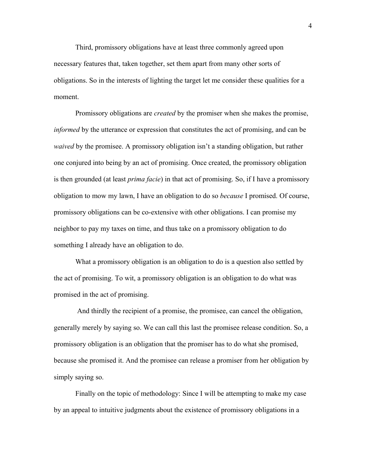Third, promissory obligations have at least three commonly agreed upon necessary features that, taken together, set them apart from many other sorts of obligations. So in the interests of lighting the target let me consider these qualities for a moment.

Promissory obligations are *created* by the promiser when she makes the promise, *informed* by the utterance or expression that constitutes the act of promising, and can be *waived* by the promisee. A promissory obligation isn't a standing obligation, but rather one conjured into being by an act of promising. Once created, the promissory obligation is then grounded (at least *prima facie*) in that act of promising. So, if I have a promissory obligation to mow my lawn, I have an obligation to do so *because* I promised. Of course, promissory obligations can be co-extensive with other obligations. I can promise my neighbor to pay my taxes on time, and thus take on a promissory obligation to do something I already have an obligation to do.

What a promissory obligation is an obligation to do is a question also settled by the act of promising. To wit, a promissory obligation is an obligation to do what was promised in the act of promising.

 And thirdly the recipient of a promise, the promisee, can cancel the obligation, generally merely by saying so. We can call this last the promisee release condition. So, a promissory obligation is an obligation that the promiser has to do what she promised, because she promised it. And the promisee can release a promiser from her obligation by simply saying so.

Finally on the topic of methodology: Since I will be attempting to make my case by an appeal to intuitive judgments about the existence of promissory obligations in a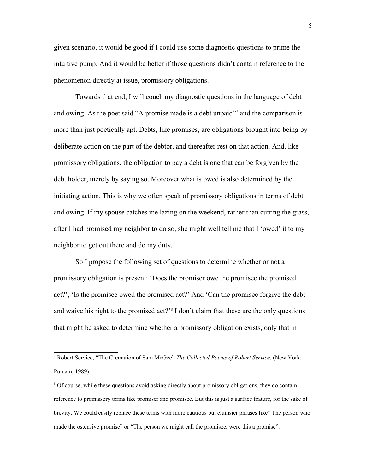given scenario, it would be good if I could use some diagnostic questions to prime the intuitive pump. And it would be better if those questions didn't contain reference to the phenomenon directly at issue, promissory obligations.

Towards that end, I will couch my diagnostic questions in the language of debt and owing. As the poet said "A promise made is a debt unpaid"<sup>[7](#page-4-0)</sup> and the comparison is more than just poetically apt. Debts, like promises, are obligations brought into being by deliberate action on the part of the debtor, and thereafter rest on that action. And, like promissory obligations, the obligation to pay a debt is one that can be forgiven by the debt holder, merely by saying so. Moreover what is owed is also determined by the initiating action. This is why we often speak of promissory obligations in terms of debt and owing. If my spouse catches me lazing on the weekend, rather than cutting the grass, after I had promised my neighbor to do so, she might well tell me that I 'owed' it to my neighbor to get out there and do my duty.

So I propose the following set of questions to determine whether or not a promissory obligation is present: 'Does the promiser owe the promisee the promised act?', 'Is the promisee owed the promised act?' And 'Can the promisee forgive the debt and waive his right to the promised act?'[8](#page-4-1) I don't claim that these are the only questions that might be asked to determine whether a promissory obligation exists, only that in

<span id="page-4-0"></span><sup>7</sup> Robert Service, "The Cremation of Sam McGee" *The Collected Poems of Robert Service*, (New York: Putnam, 1989).

<span id="page-4-1"></span><sup>&</sup>lt;sup>8</sup> Of course, while these questions avoid asking directly about promissory obligations, they do contain reference to promissory terms like promiser and promisee. But this is just a surface feature, for the sake of brevity. We could easily replace these terms with more cautious but clumsier phrases like" The person who made the ostensive promise" or "The person we might call the promisee, were this a promise".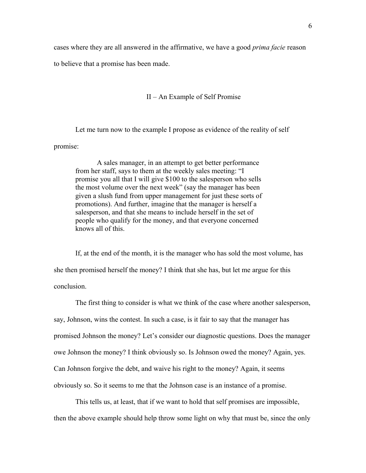cases where they are all answered in the affirmative, we have a good *prima facie* reason

to believe that a promise has been made.

## II – An Example of Self Promise

Let me turn now to the example I propose as evidence of the reality of self promise:

A sales manager, in an attempt to get better performance from her staff, says to them at the weekly sales meeting: "I promise you all that I will give \$100 to the salesperson who sells the most volume over the next week" (say the manager has been given a slush fund from upper management for just these sorts of promotions). And further, imagine that the manager is herself a salesperson, and that she means to include herself in the set of people who qualify for the money, and that everyone concerned knows all of this.

If, at the end of the month, it is the manager who has sold the most volume, has she then promised herself the money? I think that she has, but let me argue for this conclusion.

The first thing to consider is what we think of the case where another salesperson, say, Johnson, wins the contest. In such a case, is it fair to say that the manager has promised Johnson the money? Let's consider our diagnostic questions. Does the manager owe Johnson the money? I think obviously so. Is Johnson owed the money? Again, yes. Can Johnson forgive the debt, and waive his right to the money? Again, it seems obviously so. So it seems to me that the Johnson case is an instance of a promise.

This tells us, at least, that if we want to hold that self promises are impossible, then the above example should help throw some light on why that must be, since the only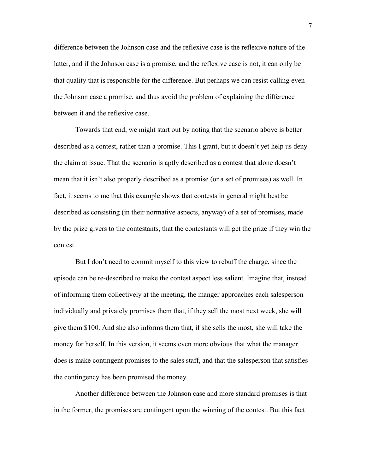difference between the Johnson case and the reflexive case is the reflexive nature of the latter, and if the Johnson case is a promise, and the reflexive case is not, it can only be that quality that is responsible for the difference. But perhaps we can resist calling even the Johnson case a promise, and thus avoid the problem of explaining the difference between it and the reflexive case.

Towards that end, we might start out by noting that the scenario above is better described as a contest, rather than a promise. This I grant, but it doesn't yet help us deny the claim at issue. That the scenario is aptly described as a contest that alone doesn't mean that it isn't also properly described as a promise (or a set of promises) as well. In fact, it seems to me that this example shows that contests in general might best be described as consisting (in their normative aspects, anyway) of a set of promises, made by the prize givers to the contestants, that the contestants will get the prize if they win the contest.

But I don't need to commit myself to this view to rebuff the charge, since the episode can be re-described to make the contest aspect less salient. Imagine that, instead of informing them collectively at the meeting, the manger approaches each salesperson individually and privately promises them that, if they sell the most next week, she will give them \$100. And she also informs them that, if she sells the most, she will take the money for herself. In this version, it seems even more obvious that what the manager does is make contingent promises to the sales staff, and that the salesperson that satisfies the contingency has been promised the money.

Another difference between the Johnson case and more standard promises is that in the former, the promises are contingent upon the winning of the contest. But this fact

7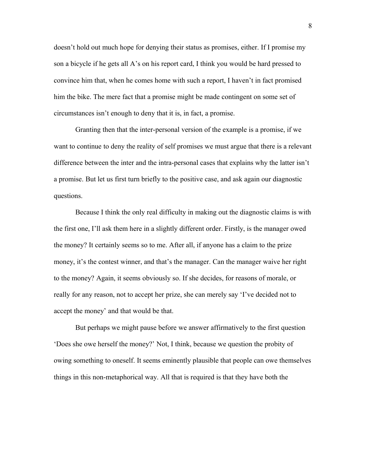doesn't hold out much hope for denying their status as promises, either. If I promise my son a bicycle if he gets all A's on his report card, I think you would be hard pressed to convince him that, when he comes home with such a report, I haven't in fact promised him the bike. The mere fact that a promise might be made contingent on some set of circumstances isn't enough to deny that it is, in fact, a promise.

Granting then that the inter-personal version of the example is a promise, if we want to continue to deny the reality of self promises we must argue that there is a relevant difference between the inter and the intra-personal cases that explains why the latter isn't a promise. But let us first turn briefly to the positive case, and ask again our diagnostic questions.

Because I think the only real difficulty in making out the diagnostic claims is with the first one, I'll ask them here in a slightly different order. Firstly, is the manager owed the money? It certainly seems so to me. After all, if anyone has a claim to the prize money, it's the contest winner, and that's the manager. Can the manager waive her right to the money? Again, it seems obviously so. If she decides, for reasons of morale, or really for any reason, not to accept her prize, she can merely say 'I've decided not to accept the money' and that would be that.

But perhaps we might pause before we answer affirmatively to the first question 'Does she owe herself the money?' Not, I think, because we question the probity of owing something to oneself. It seems eminently plausible that people can owe themselves things in this non-metaphorical way. All that is required is that they have both the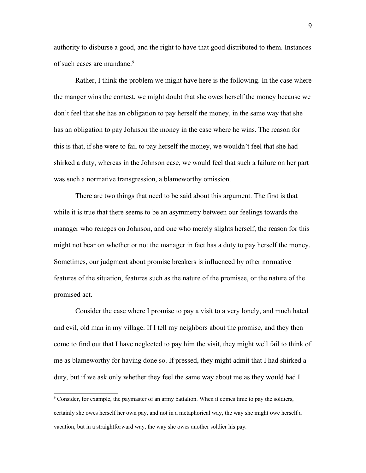authority to disburse a good, and the right to have that good distributed to them. Instances of such cases are mundane.<sup>[9](#page-8-0)</sup>

Rather, I think the problem we might have here is the following. In the case where the manger wins the contest, we might doubt that she owes herself the money because we don't feel that she has an obligation to pay herself the money, in the same way that she has an obligation to pay Johnson the money in the case where he wins. The reason for this is that, if she were to fail to pay herself the money, we wouldn't feel that she had shirked a duty, whereas in the Johnson case, we would feel that such a failure on her part was such a normative transgression, a blameworthy omission.

There are two things that need to be said about this argument. The first is that while it is true that there seems to be an asymmetry between our feelings towards the manager who reneges on Johnson, and one who merely slights herself, the reason for this might not bear on whether or not the manager in fact has a duty to pay herself the money. Sometimes, our judgment about promise breakers is influenced by other normative features of the situation, features such as the nature of the promisee, or the nature of the promised act.

Consider the case where I promise to pay a visit to a very lonely, and much hated and evil, old man in my village. If I tell my neighbors about the promise, and they then come to find out that I have neglected to pay him the visit, they might well fail to think of me as blameworthy for having done so. If pressed, they might admit that I had shirked a duty, but if we ask only whether they feel the same way about me as they would had I

<span id="page-8-0"></span><sup>&</sup>lt;sup>9</sup> Consider, for example, the paymaster of an army battalion. When it comes time to pay the soldiers, certainly she owes herself her own pay, and not in a metaphorical way, the way she might owe herself a vacation, but in a straightforward way, the way she owes another soldier his pay.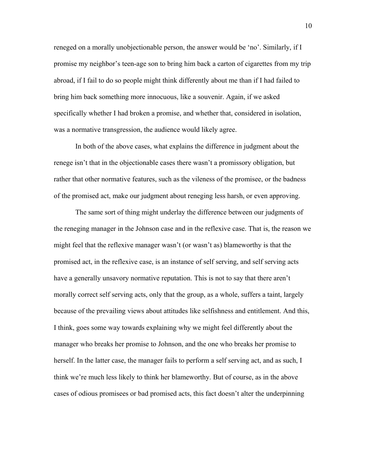reneged on a morally unobjectionable person, the answer would be 'no'. Similarly, if I promise my neighbor's teen-age son to bring him back a carton of cigarettes from my trip abroad, if I fail to do so people might think differently about me than if I had failed to bring him back something more innocuous, like a souvenir. Again, if we asked specifically whether I had broken a promise, and whether that, considered in isolation, was a normative transgression, the audience would likely agree.

In both of the above cases, what explains the difference in judgment about the renege isn't that in the objectionable cases there wasn't a promissory obligation, but rather that other normative features, such as the vileness of the promisee, or the badness of the promised act, make our judgment about reneging less harsh, or even approving.

The same sort of thing might underlay the difference between our judgments of the reneging manager in the Johnson case and in the reflexive case. That is, the reason we might feel that the reflexive manager wasn't (or wasn't as) blameworthy is that the promised act, in the reflexive case, is an instance of self serving, and self serving acts have a generally unsavory normative reputation. This is not to say that there aren't morally correct self serving acts, only that the group, as a whole, suffers a taint, largely because of the prevailing views about attitudes like selfishness and entitlement. And this, I think, goes some way towards explaining why we might feel differently about the manager who breaks her promise to Johnson, and the one who breaks her promise to herself. In the latter case, the manager fails to perform a self serving act, and as such, I think we're much less likely to think her blameworthy. But of course, as in the above cases of odious promisees or bad promised acts, this fact doesn't alter the underpinning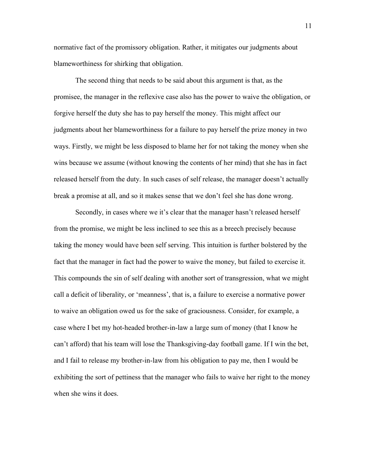normative fact of the promissory obligation. Rather, it mitigates our judgments about blameworthiness for shirking that obligation.

The second thing that needs to be said about this argument is that, as the promisee, the manager in the reflexive case also has the power to waive the obligation, or forgive herself the duty she has to pay herself the money. This might affect our judgments about her blameworthiness for a failure to pay herself the prize money in two ways. Firstly, we might be less disposed to blame her for not taking the money when she wins because we assume (without knowing the contents of her mind) that she has in fact released herself from the duty. In such cases of self release, the manager doesn't actually break a promise at all, and so it makes sense that we don't feel she has done wrong.

Secondly, in cases where we it's clear that the manager hasn't released herself from the promise, we might be less inclined to see this as a breech precisely because taking the money would have been self serving. This intuition is further bolstered by the fact that the manager in fact had the power to waive the money, but failed to exercise it. This compounds the sin of self dealing with another sort of transgression, what we might call a deficit of liberality, or 'meanness', that is, a failure to exercise a normative power to waive an obligation owed us for the sake of graciousness. Consider, for example, a case where I bet my hot-headed brother-in-law a large sum of money (that I know he can't afford) that his team will lose the Thanksgiving-day football game. If I win the bet, and I fail to release my brother-in-law from his obligation to pay me, then I would be exhibiting the sort of pettiness that the manager who fails to waive her right to the money when she wins it does.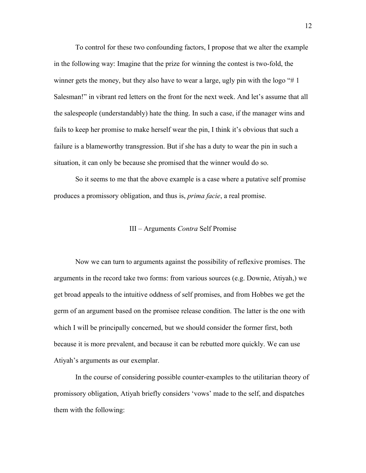To control for these two confounding factors, I propose that we alter the example in the following way: Imagine that the prize for winning the contest is two-fold, the winner gets the money, but they also have to wear a large, ugly pin with the logo "# 1 Salesman!" in vibrant red letters on the front for the next week. And let's assume that all the salespeople (understandably) hate the thing. In such a case, if the manager wins and fails to keep her promise to make herself wear the pin, I think it's obvious that such a failure is a blameworthy transgression. But if she has a duty to wear the pin in such a situation, it can only be because she promised that the winner would do so.

So it seems to me that the above example is a case where a putative self promise produces a promissory obligation, and thus is, *prima facie*, a real promise.

## III – Arguments *Contra* Self Promise

Now we can turn to arguments against the possibility of reflexive promises. The arguments in the record take two forms: from various sources (e.g. Downie, Atiyah,) we get broad appeals to the intuitive oddness of self promises, and from Hobbes we get the germ of an argument based on the promisee release condition. The latter is the one with which I will be principally concerned, but we should consider the former first, both because it is more prevalent, and because it can be rebutted more quickly. We can use Atiyah's arguments as our exemplar.

In the course of considering possible counter-examples to the utilitarian theory of promissory obligation, Atiyah briefly considers 'vows' made to the self, and dispatches them with the following: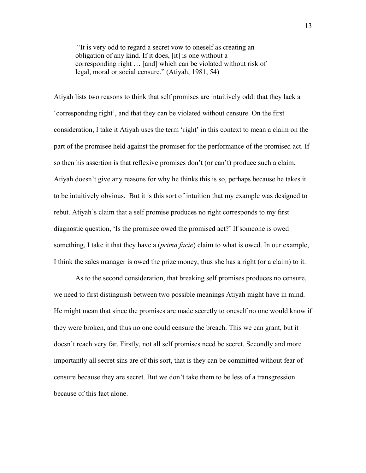"It is very odd to regard a secret vow to oneself as creating an obligation of any kind. If it does, [it] is one without a corresponding right … [and] which can be violated without risk of legal, moral or social censure." (Atiyah, 1981, 54)

Atiyah lists two reasons to think that self promises are intuitively odd: that they lack a 'corresponding right', and that they can be violated without censure. On the first consideration, I take it Atiyah uses the term 'right' in this context to mean a claim on the part of the promisee held against the promiser for the performance of the promised act. If so then his assertion is that reflexive promises don't (or can't) produce such a claim. Atiyah doesn't give any reasons for why he thinks this is so, perhaps because he takes it to be intuitively obvious. But it is this sort of intuition that my example was designed to rebut. Atiyah's claim that a self promise produces no right corresponds to my first diagnostic question, 'Is the promisee owed the promised act?' If someone is owed something, I take it that they have a (*prima facie*) claim to what is owed. In our example, I think the sales manager is owed the prize money, thus she has a right (or a claim) to it.

As to the second consideration, that breaking self promises produces no censure, we need to first distinguish between two possible meanings Atiyah might have in mind. He might mean that since the promises are made secretly to oneself no one would know if they were broken, and thus no one could censure the breach. This we can grant, but it doesn't reach very far. Firstly, not all self promises need be secret. Secondly and more importantly all secret sins are of this sort, that is they can be committed without fear of censure because they are secret. But we don't take them to be less of a transgression because of this fact alone.

13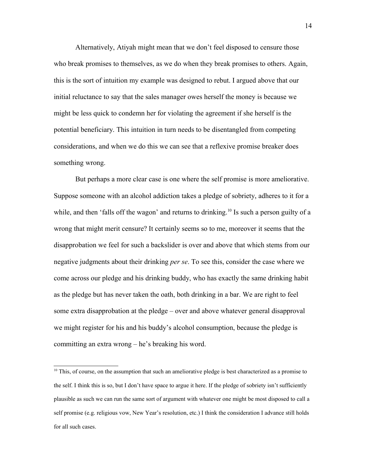Alternatively, Atiyah might mean that we don't feel disposed to censure those who break promises to themselves, as we do when they break promises to others. Again, this is the sort of intuition my example was designed to rebut. I argued above that our initial reluctance to say that the sales manager owes herself the money is because we might be less quick to condemn her for violating the agreement if she herself is the potential beneficiary. This intuition in turn needs to be disentangled from competing considerations, and when we do this we can see that a reflexive promise breaker does something wrong.

But perhaps a more clear case is one where the self promise is more ameliorative. Suppose someone with an alcohol addiction takes a pledge of sobriety, adheres to it for a while, and then 'falls off the wagon' and returns to drinking.<sup>[10](#page-13-0)</sup> Is such a person guilty of a wrong that might merit censure? It certainly seems so to me, moreover it seems that the disapprobation we feel for such a backslider is over and above that which stems from our negative judgments about their drinking *per se*. To see this, consider the case where we come across our pledge and his drinking buddy, who has exactly the same drinking habit as the pledge but has never taken the oath, both drinking in a bar. We are right to feel some extra disapprobation at the pledge – over and above whatever general disapproval we might register for his and his buddy's alcohol consumption, because the pledge is committing an extra wrong – he's breaking his word.

<span id="page-13-0"></span><sup>&</sup>lt;sup>10</sup> This, of course, on the assumption that such an ameliorative pledge is best characterized as a promise to the self. I think this is so, but I don't have space to argue it here. If the pledge of sobriety isn't sufficiently plausible as such we can run the same sort of argument with whatever one might be most disposed to call a self promise (e.g. religious vow, New Year's resolution, etc.) I think the consideration I advance still holds for all such cases.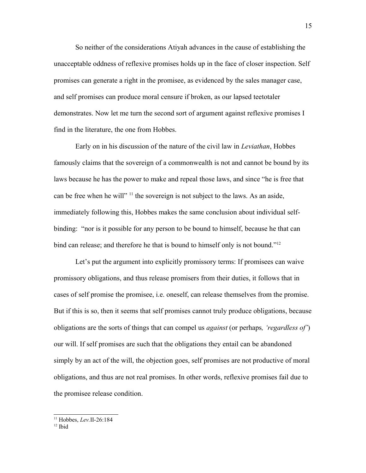So neither of the considerations Atiyah advances in the cause of establishing the unacceptable oddness of reflexive promises holds up in the face of closer inspection. Self promises can generate a right in the promisee, as evidenced by the sales manager case, and self promises can produce moral censure if broken, as our lapsed teetotaler demonstrates. Now let me turn the second sort of argument against reflexive promises I find in the literature, the one from Hobbes.

Early on in his discussion of the nature of the civil law in *Leviathan*, Hobbes famously claims that the sovereign of a commonwealth is not and cannot be bound by its laws because he has the power to make and repeal those laws, and since "he is free that can be free when he will" <sup>[11](#page-14-0)</sup> the sovereign is not subject to the laws. As an aside, immediately following this, Hobbes makes the same conclusion about individual selfbinding: "nor is it possible for any person to be bound to himself, because he that can bind can release; and therefore he that is bound to himself only is not bound."<sup>[12](#page-14-1)</sup>

Let's put the argument into explicitly promissory terms: If promisees can waive promissory obligations, and thus release promisers from their duties, it follows that in cases of self promise the promisee, i.e. oneself, can release themselves from the promise. But if this is so, then it seems that self promises cannot truly produce obligations, because obligations are the sorts of things that can compel us *against* (or perhaps*, 'regardless of'*) our will. If self promises are such that the obligations they entail can be abandoned simply by an act of the will, the objection goes, self promises are not productive of moral obligations, and thus are not real promises. In other words, reflexive promises fail due to the promisee release condition.

<span id="page-14-1"></span><span id="page-14-0"></span><sup>11</sup> Hobbes, *Lev.*II-26:184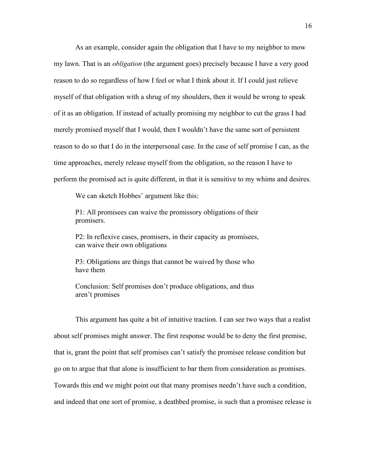As an example, consider again the obligation that I have to my neighbor to mow my lawn. That is an *obligation* (the argument goes) precisely because I have a very good reason to do so regardless of how I feel or what I think about it. If I could just relieve myself of that obligation with a shrug of my shoulders, then it would be wrong to speak of it as an obligation. If instead of actually promising my neighbor to cut the grass I had merely promised myself that I would, then I wouldn't have the same sort of persistent reason to do so that I do in the interpersonal case. In the case of self promise I can, as the time approaches, merely release myself from the obligation, so the reason I have to perform the promised act is quite different, in that it is sensitive to my whims and desires.

We can sketch Hobbes' argument like this:

P1: All promisees can waive the promissory obligations of their promisers.

P2: In reflexive cases, promisers, in their capacity as promisees, can waive their own obligations

P3: Obligations are things that cannot be waived by those who have them

Conclusion: Self promises don't produce obligations, and thus aren't promises

This argument has quite a bit of intuitive traction. I can see two ways that a realist about self promises might answer. The first response would be to deny the first premise, that is, grant the point that self promises can't satisfy the promisee release condition but go on to argue that that alone is insufficient to bar them from consideration as promises. Towards this end we might point out that many promises needn't have such a condition, and indeed that one sort of promise, a deathbed promise, is such that a promisee release is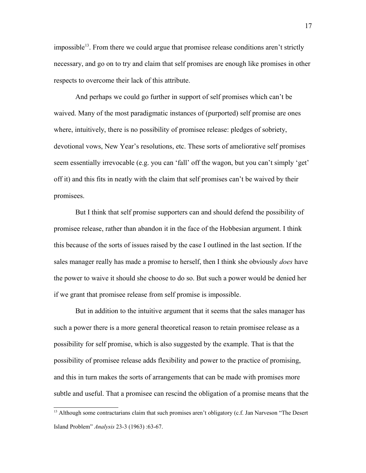impossible<sup>[13](#page-16-0)</sup>. From there we could argue that promisee release conditions aren't strictly necessary, and go on to try and claim that self promises are enough like promises in other respects to overcome their lack of this attribute.

And perhaps we could go further in support of self promises which can't be waived. Many of the most paradigmatic instances of (purported) self promise are ones where, intuitively, there is no possibility of promisee release: pledges of sobriety, devotional vows, New Year's resolutions, etc. These sorts of ameliorative self promises seem essentially irrevocable (e.g. you can 'fall' off the wagon, but you can't simply 'get' off it) and this fits in neatly with the claim that self promises can't be waived by their promisees.

But I think that self promise supporters can and should defend the possibility of promisee release, rather than abandon it in the face of the Hobbesian argument. I think this because of the sorts of issues raised by the case I outlined in the last section. If the sales manager really has made a promise to herself, then I think she obviously *does* have the power to waive it should she choose to do so. But such a power would be denied her if we grant that promisee release from self promise is impossible.

But in addition to the intuitive argument that it seems that the sales manager has such a power there is a more general theoretical reason to retain promisee release as a possibility for self promise, which is also suggested by the example. That is that the possibility of promisee release adds flexibility and power to the practice of promising, and this in turn makes the sorts of arrangements that can be made with promises more subtle and useful. That a promisee can rescind the obligation of a promise means that the

<span id="page-16-0"></span><sup>&</sup>lt;sup>13</sup> Although some contractarians claim that such promises aren't obligatory (c.f. Jan Narveson "The Desert" Island Problem" *Analysis* 23-3 (1963) :63-67.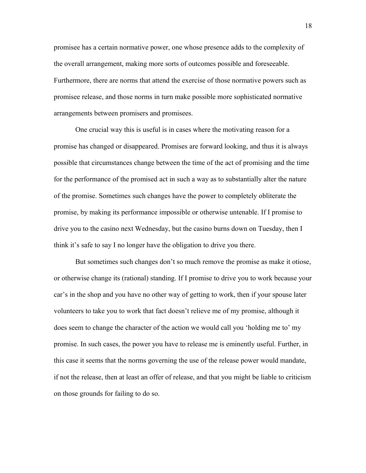promisee has a certain normative power, one whose presence adds to the complexity of the overall arrangement, making more sorts of outcomes possible and foreseeable. Furthermore, there are norms that attend the exercise of those normative powers such as promisee release, and those norms in turn make possible more sophisticated normative arrangements between promisers and promisees.

One crucial way this is useful is in cases where the motivating reason for a promise has changed or disappeared. Promises are forward looking, and thus it is always possible that circumstances change between the time of the act of promising and the time for the performance of the promised act in such a way as to substantially alter the nature of the promise. Sometimes such changes have the power to completely obliterate the promise, by making its performance impossible or otherwise untenable. If I promise to drive you to the casino next Wednesday, but the casino burns down on Tuesday, then I think it's safe to say I no longer have the obligation to drive you there.

But sometimes such changes don't so much remove the promise as make it otiose, or otherwise change its (rational) standing. If I promise to drive you to work because your car's in the shop and you have no other way of getting to work, then if your spouse later volunteers to take you to work that fact doesn't relieve me of my promise, although it does seem to change the character of the action we would call you 'holding me to' my promise. In such cases, the power you have to release me is eminently useful. Further, in this case it seems that the norms governing the use of the release power would mandate, if not the release, then at least an offer of release, and that you might be liable to criticism on those grounds for failing to do so.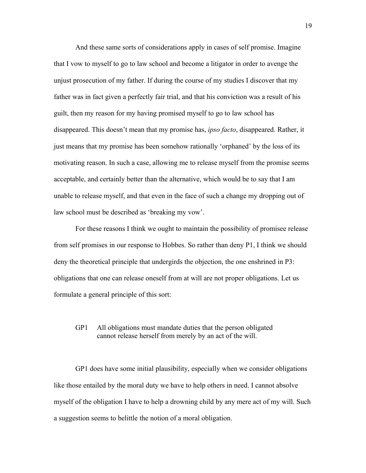And these same sorts of considerations apply in cases of self promise. Imagine that I vow to myself to go to law school and become a litigator in order to avenge the unjust prosecution of my father. If during the course of my studies I discover that my father was in fact given a perfectly fair trial, and that his conviction was a result of his guilt, then my reason for my having promised myself to go to law school has disappeared. This doesn't mean that my promise has, *ipso facto*, disappeared. Rather, it just means that my promise has been somehow rationally 'orphaned' by the loss of its motivating reason. In such a case, allowing me to release myself from the promise seems acceptable, and certainly better than the alternative, which would be to say that I am unable to release myself, and that even in the face of such a change my dropping out of law school must be described as 'breaking my vow'.

For these reasons I think we ought to maintain the possibility of promisee release from self promises in our response to Hobbes. So rather than deny P1, I think we should deny the theoretical principle that undergirds the objection, the one enshrined in P3: obligations that one can release oneself from at will are not proper obligations. Let us formulate a general principle of this sort:

## GP1 All obligations must mandate duties that the person obligated cannot release herself from merely by an act of the will.

GP1 does have some initial plausibility, especially when we consider obligations like those entailed by the moral duty we have to help others in need. I cannot absolve myself of the obligation I have to help a drowning child by any mere act of my will. Such a suggestion seems to belittle the notion of a moral obligation.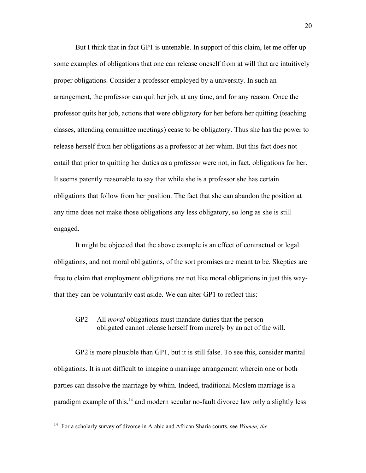But I think that in fact GP1 is untenable. In support of this claim, let me offer up some examples of obligations that one can release oneself from at will that are intuitively proper obligations. Consider a professor employed by a university. In such an arrangement, the professor can quit her job, at any time, and for any reason. Once the professor quits her job, actions that were obligatory for her before her quitting (teaching classes, attending committee meetings) cease to be obligatory. Thus she has the power to release herself from her obligations as a professor at her whim. But this fact does not entail that prior to quitting her duties as a professor were not, in fact, obligations for her. It seems patently reasonable to say that while she is a professor she has certain obligations that follow from her position. The fact that she can abandon the position at any time does not make those obligations any less obligatory, so long as she is still engaged.

It might be objected that the above example is an effect of contractual or legal obligations, and not moral obligations, of the sort promises are meant to be. Skeptics are free to claim that employment obligations are not like moral obligations in just this waythat they can be voluntarily cast aside. We can alter GP1 to reflect this:

## GP2 All *moral* obligations must mandate duties that the person obligated cannot release herself from merely by an act of the will.

GP2 is more plausible than GP1, but it is still false. To see this, consider marital obligations. It is not difficult to imagine a marriage arrangement wherein one or both parties can dissolve the marriage by whim. Indeed, traditional Moslem marriage is a paradigm example of this,<sup>[14](#page-19-0)</sup> and modern secular no-fault divorce law only a slightly less

<span id="page-19-0"></span><sup>14</sup> For a scholarly survey of divorce in Arabic and African Sharia courts, see *Women, the*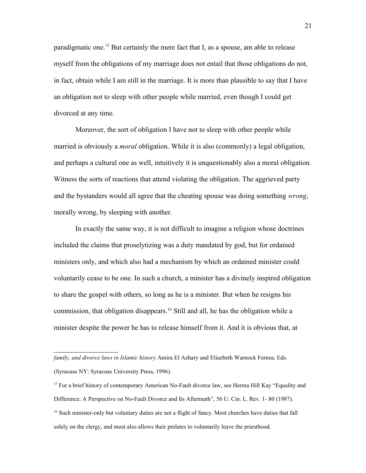paradigmatic one.<sup>[15](#page-20-0)</sup> But certainly the mere fact that I, as a spouse, am able to release myself from the obligations of my marriage does not entail that those obligations do not, in fact, obtain while I am still in the marriage. It is more than plausible to say that I have an obligation not to sleep with other people while married, even though I could get divorced at any time.

Moreover, the sort of obligation I have not to sleep with other people while married is obviously a *moral* obligation. While it is also (commonly) a legal obligation, and perhaps a cultural one as well, intuitively it is unquestionably also a moral obligation. Witness the sorts of reactions that attend violating the obligation. The aggrieved party and the bystanders would all agree that the cheating spouse was doing something *wrong*, morally wrong, by sleeping with another.

In exactly the same way, it is not difficult to imagine a religion whose doctrines included the claims that proselytizing was a duty mandated by god, but for ordained ministers only, and which also had a mechanism by which an ordained minister could voluntarily cease to be one. In such a church, a minister has a divinely inspired obligation to share the gospel with others, so long as he is a minister. But when he resigns his commission, that obligation disappears.[16](#page-20-1) Still and all, he has the obligation while a minister despite the power he has to release himself from it. And it is obvious that, at

*family, and divorce laws in Islamic history* Amira El Azhary and Eliazbeth Warnock Fernea, Eds. (Syracuse NY: Syracuse University Press, 1996).

<span id="page-20-1"></span><span id="page-20-0"></span><sup>&</sup>lt;sup>15</sup> For a brief history of contemporary American No-Fault divorce law, see Herma Hill Kay "Equality and Difference: A Perspective on No-Fault Divorce and Its Aftermath", 56 U. Cin. L. Rev. 1- 80 (1987). <sup>16</sup> Such minister-only but voluntary duties are not a flight of fancy. Most churches have duties that fall solely on the clergy, and most also allows their prelates to voluntarily leave the priesthood.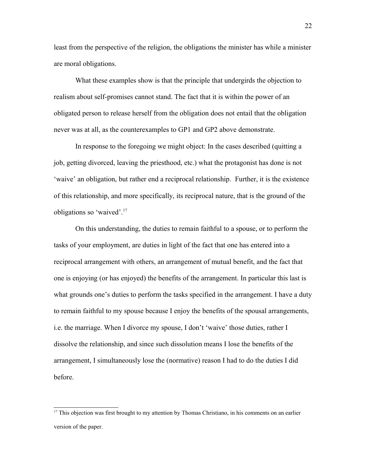least from the perspective of the religion, the obligations the minister has while a minister are moral obligations.

What these examples show is that the principle that undergirds the objection to realism about self-promises cannot stand. The fact that it is within the power of an obligated person to release herself from the obligation does not entail that the obligation never was at all, as the counterexamples to GP1 and GP2 above demonstrate.

In response to the foregoing we might object: In the cases described (quitting a job, getting divorced, leaving the priesthood, etc.) what the protagonist has done is not 'waive' an obligation, but rather end a reciprocal relationship. Further, it is the existence of this relationship, and more specifically, its reciprocal nature, that is the ground of the obligations so 'waived'.[17](#page-21-0)

On this understanding, the duties to remain faithful to a spouse, or to perform the tasks of your employment, are duties in light of the fact that one has entered into a reciprocal arrangement with others, an arrangement of mutual benefit, and the fact that one is enjoying (or has enjoyed) the benefits of the arrangement. In particular this last is what grounds one's duties to perform the tasks specified in the arrangement. I have a duty to remain faithful to my spouse because I enjoy the benefits of the spousal arrangements, i.e. the marriage. When I divorce my spouse, I don't 'waive' those duties, rather I dissolve the relationship, and since such dissolution means I lose the benefits of the arrangement, I simultaneously lose the (normative) reason I had to do the duties I did before.

<span id="page-21-0"></span><sup>&</sup>lt;sup>17</sup> This objection was first brought to my attention by Thomas Christiano, in his comments on an earlier version of the paper.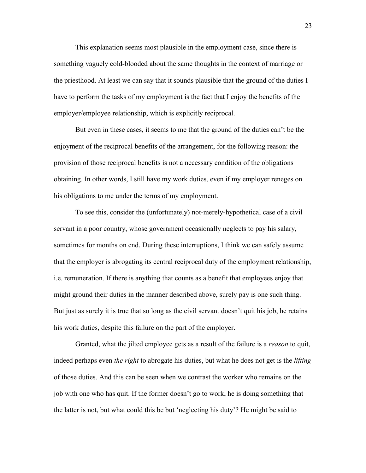This explanation seems most plausible in the employment case, since there is something vaguely cold-blooded about the same thoughts in the context of marriage or the priesthood. At least we can say that it sounds plausible that the ground of the duties I have to perform the tasks of my employment is the fact that I enjoy the benefits of the employer/employee relationship, which is explicitly reciprocal.

But even in these cases, it seems to me that the ground of the duties can't be the enjoyment of the reciprocal benefits of the arrangement, for the following reason: the provision of those reciprocal benefits is not a necessary condition of the obligations obtaining. In other words, I still have my work duties, even if my employer reneges on his obligations to me under the terms of my employment.

To see this, consider the (unfortunately) not-merely-hypothetical case of a civil servant in a poor country, whose government occasionally neglects to pay his salary, sometimes for months on end. During these interruptions, I think we can safely assume that the employer is abrogating its central reciprocal duty of the employment relationship, i.e. remuneration. If there is anything that counts as a benefit that employees enjoy that might ground their duties in the manner described above, surely pay is one such thing. But just as surely it is true that so long as the civil servant doesn't quit his job, he retains his work duties, despite this failure on the part of the employer.

Granted, what the jilted employee gets as a result of the failure is a *reason* to quit, indeed perhaps even *the right* to abrogate his duties, but what he does not get is the *lifting* of those duties. And this can be seen when we contrast the worker who remains on the job with one who has quit. If the former doesn't go to work, he is doing something that the latter is not, but what could this be but 'neglecting his duty'? He might be said to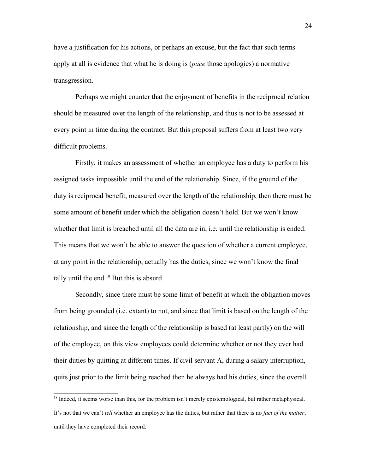have a justification for his actions, or perhaps an excuse, but the fact that such terms apply at all is evidence that what he is doing is (*pace* those apologies) a normative transgression.

Perhaps we might counter that the enjoyment of benefits in the reciprocal relation should be measured over the length of the relationship, and thus is not to be assessed at every point in time during the contract. But this proposal suffers from at least two very difficult problems.

Firstly, it makes an assessment of whether an employee has a duty to perform his assigned tasks impossible until the end of the relationship. Since, if the ground of the duty is reciprocal benefit, measured over the length of the relationship, then there must be some amount of benefit under which the obligation doesn't hold. But we won't know whether that limit is breached until all the data are in, i.e. until the relationship is ended. This means that we won't be able to answer the question of whether a current employee, at any point in the relationship, actually has the duties, since we won't know the final tally until the end. $18$  But this is absurd.

Secondly, since there must be some limit of benefit at which the obligation moves from being grounded (i.e. extant) to not, and since that limit is based on the length of the relationship, and since the length of the relationship is based (at least partly) on the will of the employee, on this view employees could determine whether or not they ever had their duties by quitting at different times. If civil servant A, during a salary interruption, quits just prior to the limit being reached then he always had his duties, since the overall

<span id="page-23-0"></span><sup>&</sup>lt;sup>18</sup> Indeed, it seems worse than this, for the problem isn't merely epistemological, but rather metaphysical. It's not that we can't *tell* whether an employee has the duties, but rather that there is no *fact of the matter*, until they have completed their record.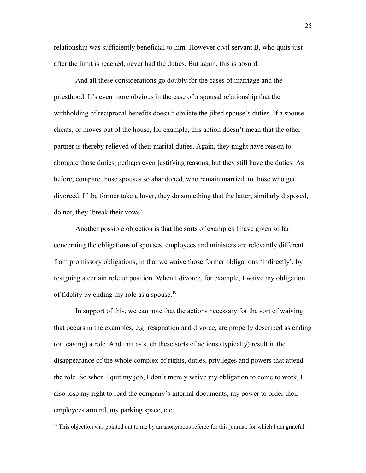relationship was sufficiently beneficial to him. However civil servant B, who quits just after the limit is reached, never had the duties. But again, this is absurd.

And all these considerations go doubly for the cases of marriage and the priesthood. It's even more obvious in the case of a spousal relationship that the withholding of reciprocal benefits doesn't obviate the jilted spouse's duties. If a spouse cheats, or moves out of the house, for example, this action doesn't mean that the other partner is thereby relieved of their marital duties. Again, they might have reason to abrogate those duties, perhaps even justifying reasons, but they still have the duties. As before, compare those spouses so abandoned, who remain married, to those who get divorced. If the former take a lover, they do something that the latter, similarly disposed, do not, they 'break their vows'.

Another possible objection is that the sorts of examples I have given so far concerning the obligations of spouses, employees and ministers are relevantly different from promissory obligations, in that we waive those former obligations 'indirectly', by resigning a certain role or position. When I divorce, for example, I waive my obligation of fidelity by ending my role as a spouse.<sup>[19](#page-24-0)</sup>

In support of this, we can note that the actions necessary for the sort of waiving that occurs in the examples, e.g. resignation and divorce, are properly described as ending (or leaving) a role. And that as such these sorts of actions (typically) result in the disappearance of the whole complex of rights, duties, privileges and powers that attend the role. So when I quit my job, I don't merely waive my obligation to come to work, I also lose my right to read the company's internal documents, my power to order their employees around, my parking space, etc.

<span id="page-24-0"></span><sup>&</sup>lt;sup>19</sup> This objection was pointed out to me by an anonymous referee for this journal, for which I am grateful.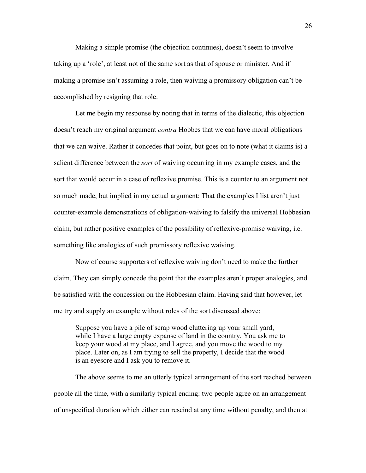Making a simple promise (the objection continues), doesn't seem to involve taking up a 'role', at least not of the same sort as that of spouse or minister. And if making a promise isn't assuming a role, then waiving a promissory obligation can't be accomplished by resigning that role.

Let me begin my response by noting that in terms of the dialectic, this objection doesn't reach my original argument *contra* Hobbes that we can have moral obligations that we can waive. Rather it concedes that point, but goes on to note (what it claims is) a salient difference between the *sort* of waiving occurring in my example cases, and the sort that would occur in a case of reflexive promise. This is a counter to an argument not so much made, but implied in my actual argument: That the examples I list aren't just counter-example demonstrations of obligation-waiving to falsify the universal Hobbesian claim, but rather positive examples of the possibility of reflexive-promise waiving, i.e. something like analogies of such promissory reflexive waiving.

Now of course supporters of reflexive waiving don't need to make the further claim. They can simply concede the point that the examples aren't proper analogies, and be satisfied with the concession on the Hobbesian claim. Having said that however, let me try and supply an example without roles of the sort discussed above:

Suppose you have a pile of scrap wood cluttering up your small yard, while I have a large empty expanse of land in the country. You ask me to keep your wood at my place, and I agree, and you move the wood to my place. Later on, as I am trying to sell the property, I decide that the wood is an eyesore and I ask you to remove it.

The above seems to me an utterly typical arrangement of the sort reached between people all the time, with a similarly typical ending: two people agree on an arrangement of unspecified duration which either can rescind at any time without penalty, and then at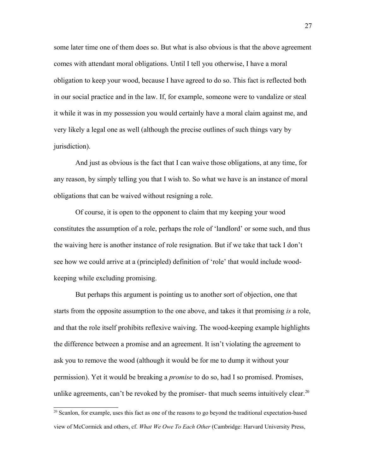some later time one of them does so. But what is also obvious is that the above agreement comes with attendant moral obligations. Until I tell you otherwise, I have a moral obligation to keep your wood, because I have agreed to do so. This fact is reflected both in our social practice and in the law. If, for example, someone were to vandalize or steal it while it was in my possession you would certainly have a moral claim against me, and very likely a legal one as well (although the precise outlines of such things vary by jurisdiction).

And just as obvious is the fact that I can waive those obligations, at any time, for any reason, by simply telling you that I wish to. So what we have is an instance of moral obligations that can be waived without resigning a role.

Of course, it is open to the opponent to claim that my keeping your wood constitutes the assumption of a role, perhaps the role of 'landlord' or some such, and thus the waiving here is another instance of role resignation. But if we take that tack I don't see how we could arrive at a (principled) definition of 'role' that would include woodkeeping while excluding promising.

But perhaps this argument is pointing us to another sort of objection, one that starts from the opposite assumption to the one above, and takes it that promising *is* a role, and that the role itself prohibits reflexive waiving. The wood-keeping example highlights the difference between a promise and an agreement. It isn't violating the agreement to ask you to remove the wood (although it would be for me to dump it without your permission). Yet it would be breaking a *promise* to do so, had I so promised. Promises, unlike agreements, can't be revoked by the promiser- that much seems intuitively clear.<sup>[20](#page-26-0)</sup>

<span id="page-26-0"></span> $20$  Scanlon, for example, uses this fact as one of the reasons to go beyond the traditional expectation-based view of McCormick and others, cf. *What We Owe To Each Other* (Cambridge: Harvard University Press,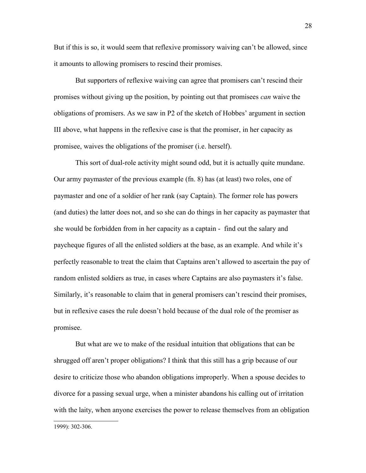But if this is so, it would seem that reflexive promissory waiving can't be allowed, since it amounts to allowing promisers to rescind their promises.

But supporters of reflexive waiving can agree that promisers can't rescind their promises without giving up the position, by pointing out that promisees *can* waive the obligations of promisers. As we saw in P2 of the sketch of Hobbes' argument in section III above, what happens in the reflexive case is that the promiser, in her capacity as promisee, waives the obligations of the promiser (i.e. herself).

This sort of dual-role activity might sound odd, but it is actually quite mundane. Our army paymaster of the previous example (fn. 8) has (at least) two roles, one of paymaster and one of a soldier of her rank (say Captain). The former role has powers (and duties) the latter does not, and so she can do things in her capacity as paymaster that she would be forbidden from in her capacity as a captain - find out the salary and paycheque figures of all the enlisted soldiers at the base, as an example. And while it's perfectly reasonable to treat the claim that Captains aren't allowed to ascertain the pay of random enlisted soldiers as true, in cases where Captains are also paymasters it's false. Similarly, it's reasonable to claim that in general promisers can't rescind their promises, but in reflexive cases the rule doesn't hold because of the dual role of the promiser as promisee.

But what are we to make of the residual intuition that obligations that can be shrugged off aren't proper obligations? I think that this still has a grip because of our desire to criticize those who abandon obligations improperly. When a spouse decides to divorce for a passing sexual urge, when a minister abandons his calling out of irritation with the laity, when anyone exercises the power to release themselves from an obligation

1999): 302-306.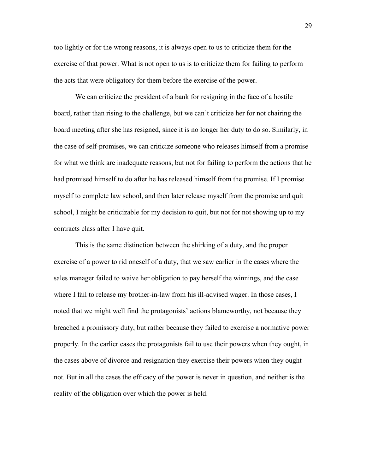too lightly or for the wrong reasons, it is always open to us to criticize them for the exercise of that power. What is not open to us is to criticize them for failing to perform the acts that were obligatory for them before the exercise of the power.

We can criticize the president of a bank for resigning in the face of a hostile board, rather than rising to the challenge, but we can't criticize her for not chairing the board meeting after she has resigned, since it is no longer her duty to do so. Similarly, in the case of self-promises, we can criticize someone who releases himself from a promise for what we think are inadequate reasons, but not for failing to perform the actions that he had promised himself to do after he has released himself from the promise. If I promise myself to complete law school, and then later release myself from the promise and quit school, I might be criticizable for my decision to quit, but not for not showing up to my contracts class after I have quit.

This is the same distinction between the shirking of a duty, and the proper exercise of a power to rid oneself of a duty, that we saw earlier in the cases where the sales manager failed to waive her obligation to pay herself the winnings, and the case where I fail to release my brother-in-law from his ill-advised wager. In those cases, I noted that we might well find the protagonists' actions blameworthy, not because they breached a promissory duty, but rather because they failed to exercise a normative power properly. In the earlier cases the protagonists fail to use their powers when they ought, in the cases above of divorce and resignation they exercise their powers when they ought not. But in all the cases the efficacy of the power is never in question, and neither is the reality of the obligation over which the power is held.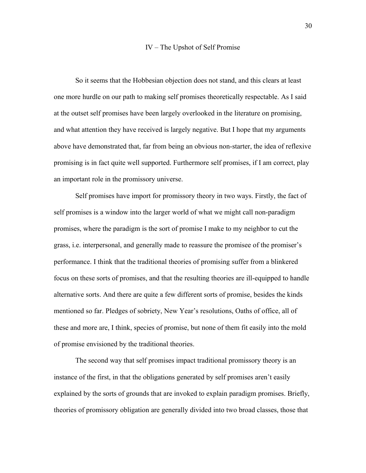#### IV – The Upshot of Self Promise

So it seems that the Hobbesian objection does not stand, and this clears at least one more hurdle on our path to making self promises theoretically respectable. As I said at the outset self promises have been largely overlooked in the literature on promising, and what attention they have received is largely negative. But I hope that my arguments above have demonstrated that, far from being an obvious non-starter, the idea of reflexive promising is in fact quite well supported. Furthermore self promises, if I am correct, play an important role in the promissory universe.

Self promises have import for promissory theory in two ways. Firstly, the fact of self promises is a window into the larger world of what we might call non-paradigm promises, where the paradigm is the sort of promise I make to my neighbor to cut the grass, i.e. interpersonal, and generally made to reassure the promisee of the promiser's performance. I think that the traditional theories of promising suffer from a blinkered focus on these sorts of promises, and that the resulting theories are ill-equipped to handle alternative sorts. And there are quite a few different sorts of promise, besides the kinds mentioned so far. Pledges of sobriety, New Year's resolutions, Oaths of office, all of these and more are, I think, species of promise, but none of them fit easily into the mold of promise envisioned by the traditional theories.

The second way that self promises impact traditional promissory theory is an instance of the first, in that the obligations generated by self promises aren't easily explained by the sorts of grounds that are invoked to explain paradigm promises. Briefly, theories of promissory obligation are generally divided into two broad classes, those that

30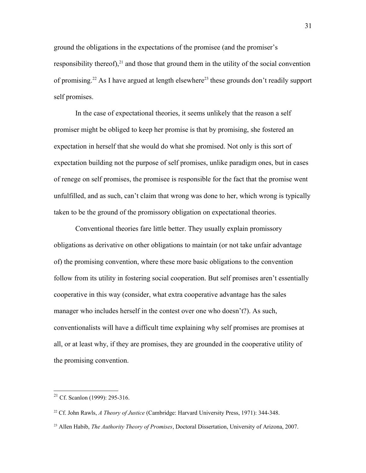ground the obligations in the expectations of the promisee (and the promiser's responsibility thereof), $^{21}$  $^{21}$  $^{21}$  and those that ground them in the utility of the social convention of promising.<sup>[22](#page-30-1)</sup> As I have argued at length elsewhere<sup>[23](#page-30-2)</sup> these grounds don't readily support self promises.

In the case of expectational theories, it seems unlikely that the reason a self promiser might be obliged to keep her promise is that by promising, she fostered an expectation in herself that she would do what she promised. Not only is this sort of expectation building not the purpose of self promises, unlike paradigm ones, but in cases of renege on self promises, the promisee is responsible for the fact that the promise went unfulfilled, and as such, can't claim that wrong was done to her, which wrong is typically taken to be the ground of the promissory obligation on expectational theories.

Conventional theories fare little better. They usually explain promissory obligations as derivative on other obligations to maintain (or not take unfair advantage of) the promising convention, where these more basic obligations to the convention follow from its utility in fostering social cooperation. But self promises aren't essentially cooperative in this way (consider, what extra cooperative advantage has the sales manager who includes herself in the contest over one who doesn't?). As such, conventionalists will have a difficult time explaining why self promises are promises at all, or at least why, if they are promises, they are grounded in the cooperative utility of the promising convention.

<span id="page-30-0"></span><sup>&</sup>lt;sup>21</sup> Cf. Scanlon (1999): 295-316.

<span id="page-30-1"></span><sup>22</sup> Cf. John Rawls, *A Theory of Justice* (Cambridge: Harvard University Press, 1971): 344-348.

<span id="page-30-2"></span><sup>23</sup> Allen Habib, *The Authority Theory of Promises*, Doctoral Dissertation, University of Arizona, 2007.